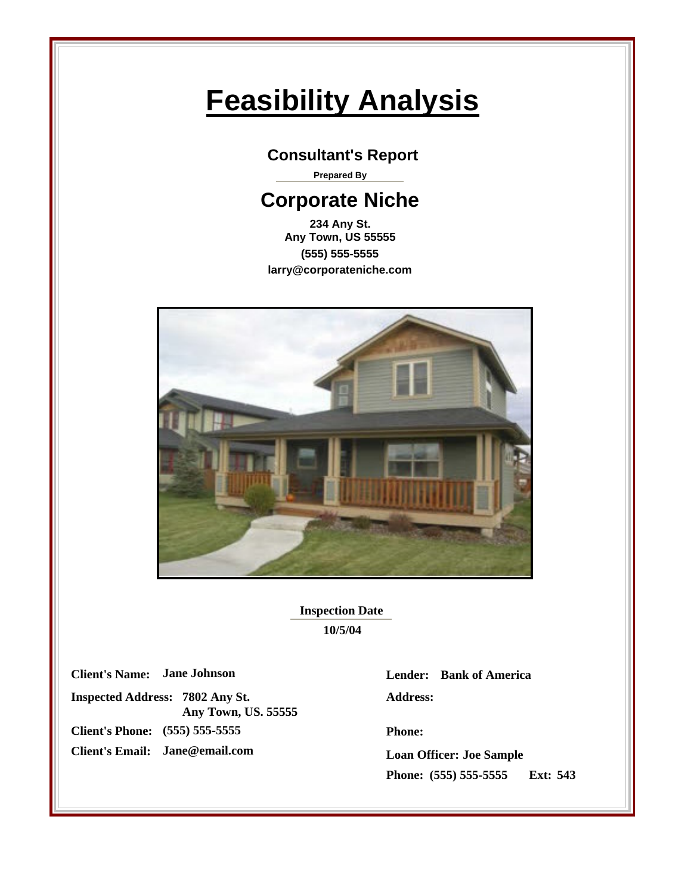# **Feasibility Analysis**

### **Consultant's Report**

**Prepared By**

## **Corporate Niche**

**234 Any St. Any Town, US 55555 (555) 555-5555 larry@corporateniche.com**



**Inspection Date 10/5/04**

**Client's Name:**

**7802 Any St. Inspected Address: Any Town, US. 55555 Client's Phone: (555) 555-5555**

**Client's Email: Jane@email.com**

**Lender:** Bank of America **Lender: Bank of America Address:**

**Phone:**

**Loan Officer: Joe Sample Phone: (555) 555-5555 Ext: 543**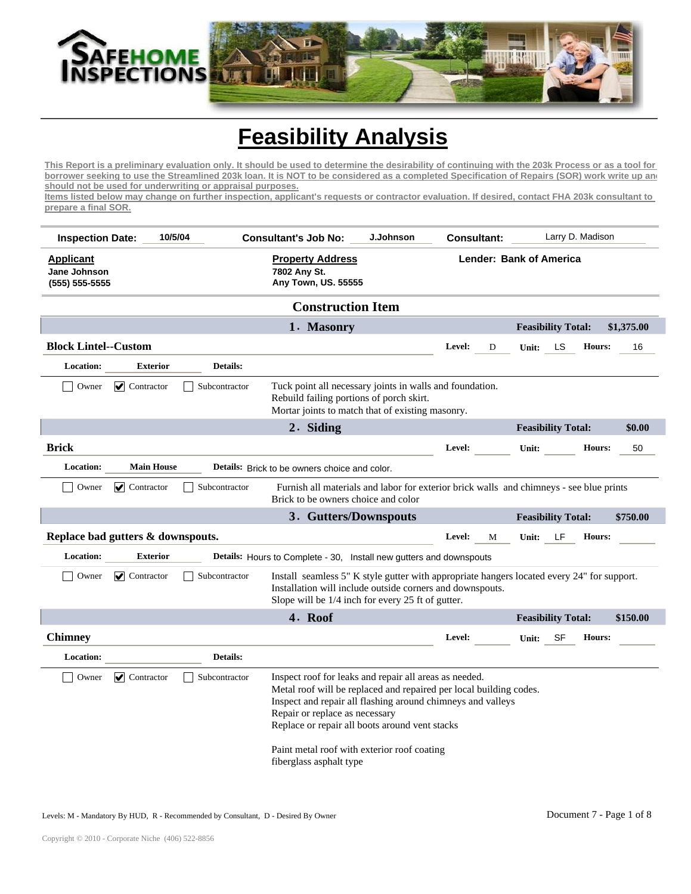

## **Feasibility Analysis**

**This Report is a preliminary evaluation only. It should be used to determine the desirability of continuing with the 203k Process or as a tool for a borrower seeking to use the Streamlined 203k loan. It is NOT to be considered as a completed Specification of Repairs (SOR) work write up and should not be used for underwriting or appraisal purposes. Items listed below may change on further inspection, applicant's requests or contractor evaluation. If desired, contact FHA 203k consultant to** 

**prepare a final SOR.**

| 10/5/04<br><b>Inspection Date:</b>              | J.Johnson<br><b>Consultant's Job No:</b>                                                                                          | <b>Consultant:</b>                                   | Larry D. Madison                                                                               |
|-------------------------------------------------|-----------------------------------------------------------------------------------------------------------------------------------|------------------------------------------------------|------------------------------------------------------------------------------------------------|
| <b>Applicant</b>                                | <b>Property Address</b>                                                                                                           | <b>Lender: Bank of America</b>                       |                                                                                                |
| Jane Johnson<br>(555) 555-5555                  | 7802 Any St.<br>Any Town, US. 55555                                                                                               |                                                      |                                                                                                |
|                                                 | <b>Construction Item</b>                                                                                                          |                                                      |                                                                                                |
|                                                 | 1. Masonry                                                                                                                        |                                                      | Feasibility Total: \$1,375.00                                                                  |
| <b>Block Lintel--Custom</b>                     |                                                                                                                                   | Level: $D$                                           | Unit: $\frac{\text{LSS}}{\text{LSS}}$<br><b>Hours:</b> 16<br>the company's company's company's |
| Details:<br><b>Exterior</b><br><b>Location:</b> |                                                                                                                                   |                                                      |                                                                                                |
| Owner<br>Contractor<br>Subcontractor            | Tuck point all necessary joints in walls and foundation.<br>Rebuild failing portions of porch skirt.                              |                                                      |                                                                                                |
|                                                 | Mortar joints to match that of existing masonry.                                                                                  |                                                      |                                                                                                |
|                                                 | 2. Siding                                                                                                                         |                                                      | <b>Feasibility Total:</b><br>\$0.00                                                            |
| <b>Brick</b>                                    |                                                                                                                                   | Level:                                               | Unit:<br>Hours: 50                                                                             |
| <b>Main House</b><br><b>Location:</b>           | Details: Brick to be owners choice and color.                                                                                     |                                                      |                                                                                                |
| Owner<br>Contractor<br>Subcontractor            | Furnish all materials and labor for exterior brick walls and chimneys - see blue prints<br>Brick to be owners choice and color    |                                                      |                                                                                                |
|                                                 | 3. Gutters/Downspouts                                                                                                             |                                                      | <b>Feasibility Total:</b> \$750.00                                                             |
| Replace bad gutters & downspouts.               |                                                                                                                                   | Level: $M$                                           | Unit: $LF$ Hours:                                                                              |
| <b>Location:</b><br><b>Exterior</b>             | Details: Hours to Complete - 30, Install new gutters and downspouts                                                               |                                                      | <b>Contract Contract</b>                                                                       |
| Owner Contractor Subcontractor                  | Install seamless 5" K style gutter with appropriate hangers located every 24" for support.                                        |                                                      |                                                                                                |
|                                                 | Installation will include outside corners and downspouts.<br>Slope will be 1/4 inch for every 25 ft of gutter.                    |                                                      |                                                                                                |
|                                                 | 4. Roof                                                                                                                           |                                                      | <b>Feasibility Total:</b> \$150.00                                                             |
| <b>Chimney</b>                                  |                                                                                                                                   | Level:<br><b>Contract Contract Contract Contract</b> | Unit: $S$ F<br>Hours:<br><b>Contract Contract Contract</b>                                     |
| Details:<br><b>Location:</b>                    |                                                                                                                                   |                                                      |                                                                                                |
| □ Owner ● Contractor □ Subcontractor            | Inspect roof for leaks and repair all areas as needed.                                                                            |                                                      |                                                                                                |
|                                                 | Metal roof will be replaced and repaired per local building codes.<br>Inspect and repair all flashing around chimneys and valleys |                                                      |                                                                                                |
|                                                 | Repair or replace as necessary                                                                                                    |                                                      |                                                                                                |
|                                                 | Replace or repair all boots around vent stacks                                                                                    |                                                      |                                                                                                |
|                                                 | Paint metal roof with exterior roof coating<br>fiberglass asphalt type                                                            |                                                      |                                                                                                |
|                                                 |                                                                                                                                   |                                                      |                                                                                                |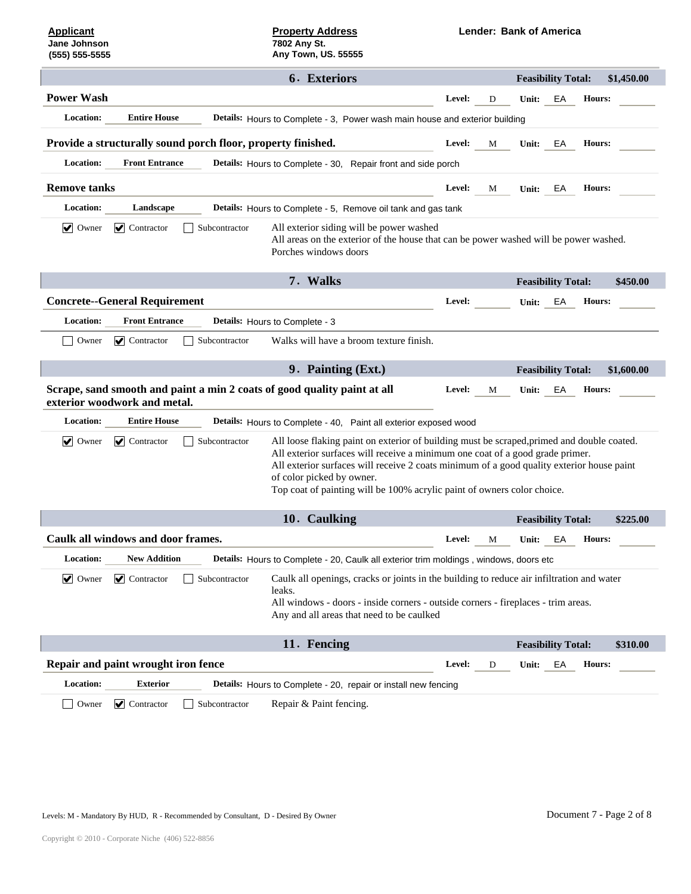| <b>Applicant</b><br>Jane Johnson<br>(555) 555-5555           | <b>Property Address</b><br>7802 Any St.<br>Any Town, US. 55555                        | <b>Lender: Bank of America</b>                                                                                                                                                                                                                                                                                                                      |
|--------------------------------------------------------------|---------------------------------------------------------------------------------------|-----------------------------------------------------------------------------------------------------------------------------------------------------------------------------------------------------------------------------------------------------------------------------------------------------------------------------------------------------|
|                                                              | 6. Exteriors                                                                          | Feasibility Total: \$1,450.00                                                                                                                                                                                                                                                                                                                       |
| <b>Power Wash</b>                                            |                                                                                       | Level: $\frac{D}{\sqrt{D}}$<br>Unit: $E$ A<br><b>Hours:</b><br><b>Contract Contract Contract</b>                                                                                                                                                                                                                                                    |
| <b>Entire House</b><br><b>Location:</b>                      | Details: Hours to Complete - 3, Power wash main house and exterior building           |                                                                                                                                                                                                                                                                                                                                                     |
| Provide a structurally sound porch floor, property finished. |                                                                                       | Level: M<br>Unit: $E$ A<br><b>Hours:</b><br><b>Contract Contract Contract</b>                                                                                                                                                                                                                                                                       |
| <b>Location:</b><br><b>Front Entrance</b>                    | Details: Hours to Complete - 30, Repair front and side porch                          |                                                                                                                                                                                                                                                                                                                                                     |
| <b>Remove tanks</b>                                          |                                                                                       | Level: $M$ Unit: $E$ A Hours:                                                                                                                                                                                                                                                                                                                       |
| Landscape<br><b>Location:</b>                                | Details: Hours to Complete - 5, Remove oil tank and gas tank                          |                                                                                                                                                                                                                                                                                                                                                     |
| ● Owner ● Contractor □ Subcontractor                         | All exterior siding will be power washed<br>Porches windows doors                     | All areas on the exterior of the house that can be power washed will be power washed.                                                                                                                                                                                                                                                               |
|                                                              | 7. Walks                                                                              | \$450.00<br><b>Feasibility Total:</b>                                                                                                                                                                                                                                                                                                               |
| <b>Concrete--General Requirement</b>                         |                                                                                       | Level:<br>Unit:<br>EA<br><b>Hours:</b><br><b>Contract Contract Contract</b>                                                                                                                                                                                                                                                                         |
| <b>Location:</b><br><b>Front Entrance</b>                    | Details: Hours to Complete - 3                                                        |                                                                                                                                                                                                                                                                                                                                                     |
| $\Box$ Subcontractor<br>Owner $\bigtriangledown$ Contractor  | Walks will have a broom texture finish.                                               |                                                                                                                                                                                                                                                                                                                                                     |
|                                                              | 9. Painting (Ext.)                                                                    | Feasibility Total: \$1,600.00                                                                                                                                                                                                                                                                                                                       |
| exterior woodwork and metal.                                 | Scrape, sand smooth and paint a min 2 coats of good quality paint at all              | Level: <u>M</u> Unit: EA Hours:<br>the contract of the contract of                                                                                                                                                                                                                                                                                  |
| <b>Entire House</b><br><b>Location:</b>                      | Details: Hours to Complete - 40, Paint all exterior exposed wood                      |                                                                                                                                                                                                                                                                                                                                                     |
| ● Owner ● Contractor □ Subcontractor                         | of color picked by owner.                                                             | All loose flaking paint on exterior of building must be scraped, primed and double coated.<br>All exterior surfaces will receive a minimum one coat of a good grade primer.<br>All exterior surfaces will receive 2 coats minimum of a good quality exterior house paint<br>Top coat of painting will be 100% acrylic paint of owners color choice. |
|                                                              | 10. Caulking                                                                          | \$225.00<br><b>Feasibility Total:</b>                                                                                                                                                                                                                                                                                                               |
| Caulk all windows and door frames.                           |                                                                                       | Level: $M$ Unit: $EA$ Hours:                                                                                                                                                                                                                                                                                                                        |
| <b>New Addition</b><br><b>Location:</b>                      | Details: Hours to Complete - 20, Caulk all exterior trim moldings, windows, doors etc |                                                                                                                                                                                                                                                                                                                                                     |
| ● Owner ● Contractor Bubcontractor                           | leaks.<br>Any and all areas that need to be caulked                                   | Caulk all openings, cracks or joints in the building to reduce air infiltration and water<br>All windows - doors - inside corners - outside corners - fireplaces - trim areas.                                                                                                                                                                      |
|                                                              | 11. Fencing                                                                           | <b>Feasibility Total:</b> \$310.00                                                                                                                                                                                                                                                                                                                  |
| Repair and paint wrought iron fence                          |                                                                                       | Unit: $E_A$ Hours:<br>Level: D                                                                                                                                                                                                                                                                                                                      |
| Exterior<br><b>Location:</b>                                 | Details: Hours to Complete - 20, repair or install new fencing                        |                                                                                                                                                                                                                                                                                                                                                     |
| □ Owner ● Contractor □ Subcontractor Repair & Paint fencing. |                                                                                       |                                                                                                                                                                                                                                                                                                                                                     |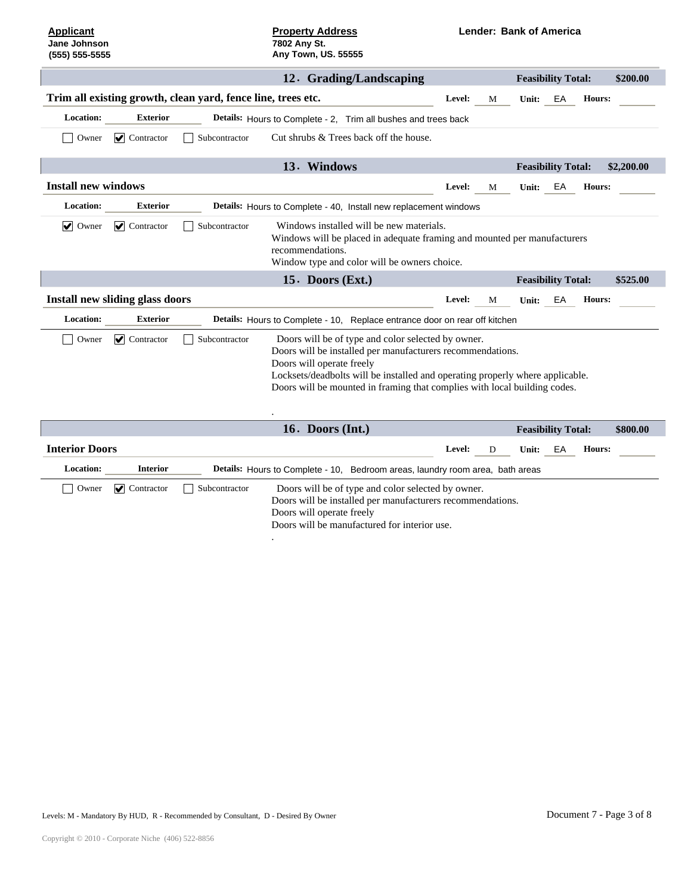| <b>Applicant</b><br>Jane Johnson<br>(555) 555-5555           | <b>Property Address</b><br>7802 Any St.<br>Any Town, US. 55555                                                                                                                                                                                                                                              | Lender: Bank of America                                                                                      |
|--------------------------------------------------------------|-------------------------------------------------------------------------------------------------------------------------------------------------------------------------------------------------------------------------------------------------------------------------------------------------------------|--------------------------------------------------------------------------------------------------------------|
|                                                              | 12. Grading/Landscaping                                                                                                                                                                                                                                                                                     | <b>Feasibility Total:</b> \$200.00                                                                           |
| Trim all existing growth, clean yard, fence line, trees etc. |                                                                                                                                                                                                                                                                                                             | Level: $M$<br>Unit: EA<br><b>Hours:</b><br>the contract of the contract of                                   |
| <b>Location:</b><br>Exterior                                 | Details: Hours to Complete - 2, Trim all bushes and trees back                                                                                                                                                                                                                                              |                                                                                                              |
| □ Owner ● Contractor □ Subcontractor                         | Cut shrubs & Trees back off the house.                                                                                                                                                                                                                                                                      |                                                                                                              |
|                                                              | 13. Windows                                                                                                                                                                                                                                                                                                 | Feasibility Total: \$2,200.00                                                                                |
| <b>Install new windows</b>                                   |                                                                                                                                                                                                                                                                                                             | Unit: EA<br>Level:<br><b>Hours:</b><br>M<br>the control of the control of<br>the contract of the contract of |
| <b>Location:</b><br><b>Exterior</b>                          | Details: Hours to Complete - 40, Install new replacement windows                                                                                                                                                                                                                                            |                                                                                                              |
| ● Owner ● Contractor ■ Subcontractor                         | Windows installed will be new materials.<br>Windows will be placed in adequate framing and mounted per manufacturers<br>recommendations.<br>Window type and color will be owners choice.                                                                                                                    |                                                                                                              |
|                                                              | 15. Doors (Ext.)                                                                                                                                                                                                                                                                                            | <b>Feasibility Total:</b> \$525.00                                                                           |
| Install new sliding glass doors                              |                                                                                                                                                                                                                                                                                                             | Unit: $E$<br>Level:<br>Hours:<br>M<br>and the state of the state of the<br>the contract of the contract of   |
| <b>Exterior</b><br><b>Location:</b>                          | Details: Hours to Complete - 10, Replace entrance door on rear off kitchen                                                                                                                                                                                                                                  |                                                                                                              |
| Owner <b>v</b> Contractor <b>Subcontractor</b>               | Doors will be of type and color selected by owner.<br>Doors will be installed per manufacturers recommendations.<br>Doors will operate freely<br>Locksets/deadbolts will be installed and operating properly where applicable.<br>Doors will be mounted in framing that complies with local building codes. |                                                                                                              |

| Unit: $E_A$ Hours:<br><b>Level:</b>                                                                                                                              |  |
|------------------------------------------------------------------------------------------------------------------------------------------------------------------|--|
| Details: Hours to Complete - 10, Bedroom areas, laundry room area, bath areas                                                                                    |  |
| Doors will be of type and color selected by owner.<br>Doors will be installed per manufacturers recommendations.<br>Doors will be manufactured for interior use. |  |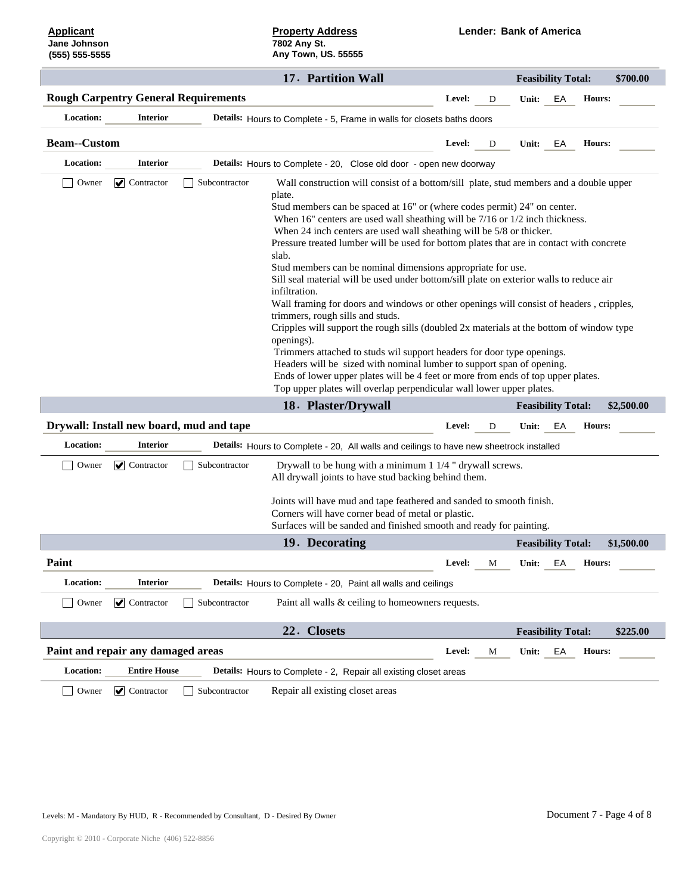#### **Jane Johnson 7802 Any St. Any Town, US. 55555 (555) 555-5555**

|                                             | 17. Partition Wall<br><b>Feasibility Total:</b> \$700.00                                                                                                  |
|---------------------------------------------|-----------------------------------------------------------------------------------------------------------------------------------------------------------|
| <b>Rough Carpentry General Requirements</b> | Unit: $E_A$ Hours:<br>Level: $D$<br>and the contract of the con-                                                                                          |
| <b>Location:</b>                            | Details: Hours to Complete - 5, Frame in walls for closets baths doors                                                                                    |
| <b>Beam--Custom</b>                         | Unit: $E_A$ Hours:<br>Level: $D$                                                                                                                          |
| <b>Location:</b><br><b>Interior</b>         | and the contract of the con-<br>Details: Hours to Complete - 20, Close old door - open new doorway                                                        |
| □ Owner ● Contractor □ Subcontractor        | Wall construction will consist of a bottom/sill plate, stud members and a double upper                                                                    |
|                                             | plate.                                                                                                                                                    |
|                                             | Stud members can be spaced at 16" or (where codes permit) 24" on center.<br>When 16" centers are used wall sheathing will be 7/16 or 1/2 inch thickness.  |
|                                             | When 24 inch centers are used wall sheathing will be 5/8 or thicker.                                                                                      |
|                                             | Pressure treated lumber will be used for bottom plates that are in contact with concrete                                                                  |
|                                             | Stud members can be nominal dimensions appropriate for use.                                                                                               |
|                                             | Sill seal material will be used under bottom/sill plate on exterior walls to reduce air<br>infiltration.                                                  |
|                                             | Wall framing for doors and windows or other openings will consist of headers, cripples,                                                                   |
|                                             | trimmers, rough sills and studs.                                                                                                                          |
|                                             | Cripples will support the rough sills (doubled 2x materials at the bottom of window type<br>openings).                                                    |
|                                             | Trimmers attached to studs wil support headers for door type openings.                                                                                    |
|                                             | Headers will be sized with nominal lumber to support span of opening.<br>Ends of lower upper plates will be 4 feet or more from ends of top upper plates. |
|                                             | Top upper plates will overlap perpendicular wall lower upper plates.                                                                                      |
|                                             | 18. Plaster/Drywall<br><b>Feasibility Total:</b> \$2,500.00                                                                                               |
| Drywall: Install new board, mud and tape    | Unit: EA Hours:<br>Level: D                                                                                                                               |
| <b>Location:</b>                            | Details: Hours to Complete - 20, All walls and ceilings to have new sheetrock installed                                                                   |
| Owner <b>v</b> Contractor Subcontractor     | Drywall to be hung with a minimum 1 1/4 " drywall screws.                                                                                                 |
|                                             | All drywall joints to have stud backing behind them.                                                                                                      |
|                                             | Joints will have mud and tape feathered and sanded to smooth finish.                                                                                      |
|                                             | Corners will have corner bead of metal or plastic.                                                                                                        |
|                                             | Surfaces will be sanded and finished smooth and ready for painting.<br>19. Decorating<br>Feasibility Total: \$1,500.00                                    |
|                                             |                                                                                                                                                           |
| Paint                                       | Unit: $E$<br>Level: M<br><b>Hours:</b><br>the property of the control of                                                                                  |
| <b>Interior</b><br><b>Location:</b>         | Details: Hours to Complete - 20, Paint all walls and ceilings                                                                                             |
| Owner <b>v</b> Contractor Subcontractor     | Paint all walls & ceiling to homeowners requests.                                                                                                         |
|                                             | 22. Closets<br><b>Feasibility Total:</b> \$225.00                                                                                                         |
| Paint and repair any damaged areas          | Level: <u>M</u> Unit: EA Hours:                                                                                                                           |
| <b>Entire House</b><br><b>Location:</b>     | $\sim$ 100 minutes and 100 minutes are also<br>Details: Hours to Complete - 2, Repair all existing closet areas                                           |
| $\Box$ $\Box$ $\Box$<br>$\Box$              |                                                                                                                                                           |

Owner **V** Contractor Subcontractor Repair all existing closet areas

Levels: M - Mandatory By HUD, R - Recommended by Consultant, D - Desired By Owner Document 7 - Page 4 of 8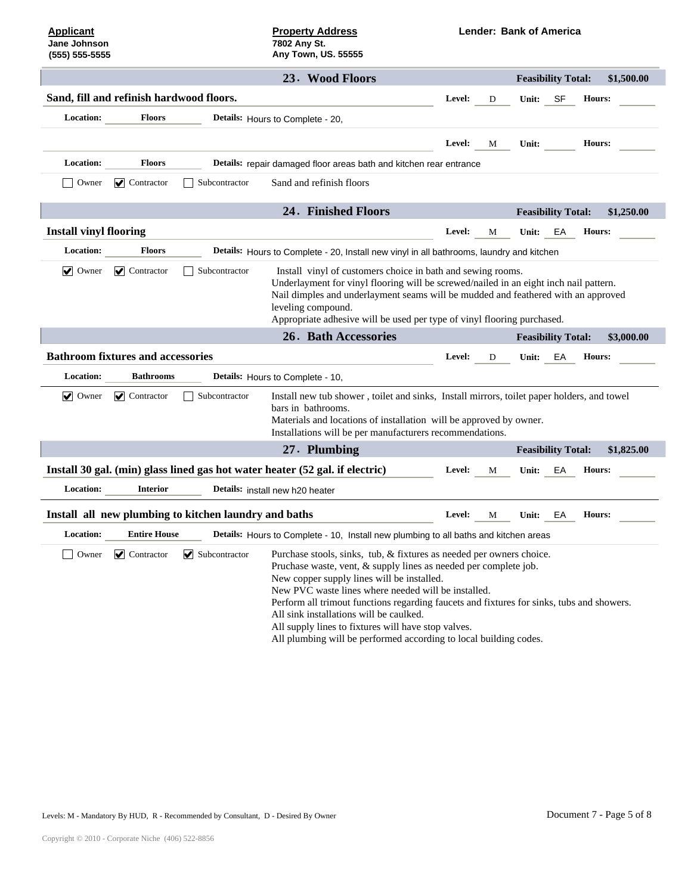| <b>Applicant</b><br>Jane Johnson<br>(555) 555-5555                           | <b>Property Address</b><br>7802 Any St.<br>Any Town, US. 55555                                                                                                                                                                                                                                                                                                                                                       | <b>Lender: Bank of America</b>                                                                                                                                                                                                                                                                                                                                                                                                      |
|------------------------------------------------------------------------------|----------------------------------------------------------------------------------------------------------------------------------------------------------------------------------------------------------------------------------------------------------------------------------------------------------------------------------------------------------------------------------------------------------------------|-------------------------------------------------------------------------------------------------------------------------------------------------------------------------------------------------------------------------------------------------------------------------------------------------------------------------------------------------------------------------------------------------------------------------------------|
|                                                                              | 23. Wood Floors                                                                                                                                                                                                                                                                                                                                                                                                      | <b>Feasibility Total:</b> \$1,500.00                                                                                                                                                                                                                                                                                                                                                                                                |
| Sand, fill and refinish hardwood floors.                                     |                                                                                                                                                                                                                                                                                                                                                                                                                      | Unit: $S$ F<br>Level: D<br><b>Hours:</b>                                                                                                                                                                                                                                                                                                                                                                                            |
| <b>Location:</b><br>Floors                                                   | Details: Hours to Complete - 20,                                                                                                                                                                                                                                                                                                                                                                                     | the contract of the contract of<br><b>Contract Contract Contract Contract</b>                                                                                                                                                                                                                                                                                                                                                       |
|                                                                              |                                                                                                                                                                                                                                                                                                                                                                                                                      | Level: M<br>Unit: $\frac{1}{\sqrt{1-\frac{1}{2}}\sqrt{1-\frac{1}{2}}\sqrt{1-\frac{1}{2}}\sqrt{1-\frac{1}{2}}\sqrt{1-\frac{1}{2}}\sqrt{1-\frac{1}{2}}\sqrt{1-\frac{1}{2}}\sqrt{1-\frac{1}{2}}\sqrt{1-\frac{1}{2}}\sqrt{1-\frac{1}{2}}\sqrt{1-\frac{1}{2}}\sqrt{1-\frac{1}{2}}\sqrt{1-\frac{1}{2}}\sqrt{1-\frac{1}{2}}\sqrt{1-\frac{1}{2}}\sqrt{1-\frac{1}{2}}\sqrt{1-\frac{1}{2}}\sqrt{1-\frac{1}{2}}\sqrt{1-\frac{1}{2}}$<br>Hours: |
| <b>Location:</b><br>Floors                                                   | Details: repair damaged floor areas bath and kitchen rear entrance                                                                                                                                                                                                                                                                                                                                                   | $\sim$ $\sim$ $\sim$<br>the company's company's                                                                                                                                                                                                                                                                                                                                                                                     |
| Subcontractor<br>Owner $\bigtriangledown$ Contractor                         | Sand and refinish floors                                                                                                                                                                                                                                                                                                                                                                                             |                                                                                                                                                                                                                                                                                                                                                                                                                                     |
|                                                                              | 24. Finished Floors                                                                                                                                                                                                                                                                                                                                                                                                  | Feasibility Total: \$1,250.00                                                                                                                                                                                                                                                                                                                                                                                                       |
| <b>Install vinyl flooring</b>                                                |                                                                                                                                                                                                                                                                                                                                                                                                                      | Unit: $E_A$<br>Level: $M$<br><b>Hours:</b><br>the company's company's                                                                                                                                                                                                                                                                                                                                                               |
| <b>Location:</b><br>Floors                                                   | Details: Hours to Complete - 20, Install new vinyl in all bathrooms, laundry and kitchen                                                                                                                                                                                                                                                                                                                             |                                                                                                                                                                                                                                                                                                                                                                                                                                     |
| ● Owner ● Contractor □ Subcontractor                                         | Install vinyl of customers choice in bath and sewing rooms.<br>leveling compound.                                                                                                                                                                                                                                                                                                                                    | Underlayment for vinyl flooring will be screwed/nailed in an eight inch nail pattern.<br>Nail dimples and underlayment seams will be mudded and feathered with an approved<br>Appropriate adhesive will be used per type of vinyl flooring purchased.                                                                                                                                                                               |
|                                                                              | 26. Bath Accessories                                                                                                                                                                                                                                                                                                                                                                                                 | <b>Feasibility Total:</b> \$3,000.00                                                                                                                                                                                                                                                                                                                                                                                                |
| <b>Bathroom fixtures and accessories</b>                                     |                                                                                                                                                                                                                                                                                                                                                                                                                      | Unit: $EA$<br>Level: $D$<br><b>Hours:</b><br>the property of the control of                                                                                                                                                                                                                                                                                                                                                         |
| <b>Location:</b><br>Bathrooms                                                | Details: Hours to Complete - 10,                                                                                                                                                                                                                                                                                                                                                                                     |                                                                                                                                                                                                                                                                                                                                                                                                                                     |
| $\Box$ Subcontractor<br>$\bigvee$ Owner $\bigvee$ Contractor                 | bars in bathrooms.<br>Materials and locations of installation will be approved by owner.<br>Installations will be per manufacturers recommendations.                                                                                                                                                                                                                                                                 | Install new tub shower, toilet and sinks, Install mirrors, toilet paper holders, and towel                                                                                                                                                                                                                                                                                                                                          |
| Install 30 gal. (min) glass lined gas hot water heater (52 gal. if electric) | 27. Plumbing                                                                                                                                                                                                                                                                                                                                                                                                         | Feasibility Total: \$1,825.00<br>Level: M                                                                                                                                                                                                                                                                                                                                                                                           |
| <b>Interior</b><br><b>Location:</b>                                          | Details: install new h20 heater                                                                                                                                                                                                                                                                                                                                                                                      | Unit: $E_A$<br><b>Hours:</b><br><b>Contract Contract Contract</b>                                                                                                                                                                                                                                                                                                                                                                   |
| Install all new plumbing to kitchen laundry and baths                        |                                                                                                                                                                                                                                                                                                                                                                                                                      | Unit: EA Hours:<br>Level: M                                                                                                                                                                                                                                                                                                                                                                                                         |
| <b>Entire House</b><br><b>Location:</b>                                      | Details: Hours to Complete - 10, Install new plumbing to all baths and kitchen areas                                                                                                                                                                                                                                                                                                                                 |                                                                                                                                                                                                                                                                                                                                                                                                                                     |
| Owner $\bigtriangledown$ Contractor $\bigtriangledown$ Subcontractor         | Purchase stools, sinks, tub, & fixtures as needed per owners choice.<br>Pruchase waste, vent, & supply lines as needed per complete job.<br>New copper supply lines will be installed.<br>New PVC waste lines where needed will be installed.<br>All sink installations will be caulked.<br>All supply lines to fixtures will have stop valves.<br>All plumbing will be performed according to local building codes. | Perform all trimout functions regarding faucets and fixtures for sinks, tubs and showers.                                                                                                                                                                                                                                                                                                                                           |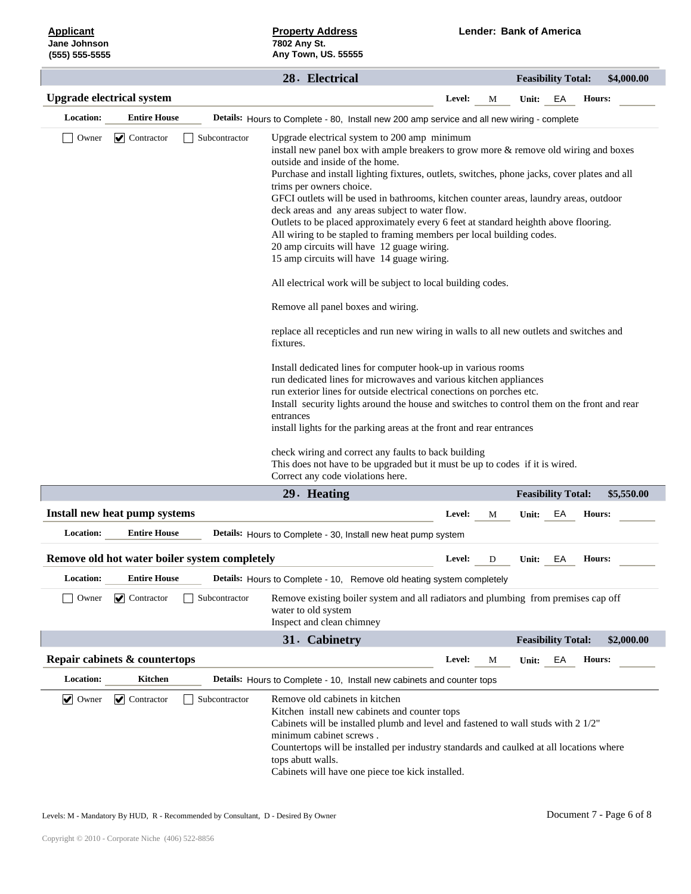#### **Jane Johnson 7802 Any St. Any Town, US. 55555 (555) 555-5555**

|                                         | 28 Electrical                                                                                        | Feasibility Total: \$4,000.00                                                                |
|-----------------------------------------|------------------------------------------------------------------------------------------------------|----------------------------------------------------------------------------------------------|
| <b>Upgrade electrical system</b>        |                                                                                                      | Unit: $E_A$ Hours:<br>Level: $M$<br>the company's company's                                  |
| <b>Entire House</b><br><b>Location:</b> | Details: Hours to Complete - 80, Install new 200 amp service and all new wiring - complete           |                                                                                              |
| □ Owner ● Contractor □ Subcontractor    |                                                                                                      |                                                                                              |
|                                         | Upgrade electrical system to 200 amp minimum                                                         | install new panel box with ample breakers to grow more & remove old wiring and boxes         |
|                                         | outside and inside of the home.                                                                      |                                                                                              |
|                                         |                                                                                                      | Purchase and install lighting fixtures, outlets, switches, phone jacks, cover plates and all |
|                                         | trims per owners choice.                                                                             |                                                                                              |
|                                         | GFCI outlets will be used in bathrooms, kitchen counter areas, laundry areas, outdoor                |                                                                                              |
|                                         | deck areas and any areas subject to water flow.                                                      |                                                                                              |
|                                         | Outlets to be placed approximately every 6 feet at standard heighth above flooring.                  |                                                                                              |
|                                         | All wiring to be stapled to framing members per local building codes.                                |                                                                                              |
|                                         | 20 amp circuits will have 12 guage wiring.<br>15 amp circuits will have 14 guage wiring.             |                                                                                              |
|                                         |                                                                                                      |                                                                                              |
|                                         | All electrical work will be subject to local building codes.                                         |                                                                                              |
|                                         | Remove all panel boxes and wiring.                                                                   |                                                                                              |
|                                         |                                                                                                      |                                                                                              |
|                                         | replace all recepticles and run new wiring in walls to all new outlets and switches and<br>fixtures. |                                                                                              |
|                                         |                                                                                                      |                                                                                              |
|                                         | Install dedicated lines for computer hook-up in various rooms                                        |                                                                                              |
|                                         | run dedicated lines for microwaves and various kitchen appliances                                    |                                                                                              |
|                                         | run exterior lines for outside electrical conections on porches etc.                                 |                                                                                              |
|                                         |                                                                                                      | Install security lights around the house and switches to control them on the front and rear  |
|                                         | entrances                                                                                            |                                                                                              |
|                                         | install lights for the parking areas at the front and rear entrances                                 |                                                                                              |
|                                         | check wiring and correct any faults to back building                                                 |                                                                                              |
|                                         | This does not have to be upgraded but it must be up to codes if it is wired.                         |                                                                                              |
|                                         | Correct any code violations here.                                                                    |                                                                                              |
|                                         | 29. Heating                                                                                          | <b>Feasibility Total:</b> \$5,550.00                                                         |
|                                         |                                                                                                      |                                                                                              |

| Install new heat pump systems                 |                                                                                                                                                                                     | Level:<br>Unit: <b>EA</b> Hours:<br>the contract of the contract of                                                                                                          |
|-----------------------------------------------|-------------------------------------------------------------------------------------------------------------------------------------------------------------------------------------|------------------------------------------------------------------------------------------------------------------------------------------------------------------------------|
| Entire House<br><b>Location:</b>              | Details: Hours to Complete - 30, Install new heat pump system                                                                                                                       |                                                                                                                                                                              |
| Remove old hot water boiler system completely |                                                                                                                                                                                     | Unit: $E_A$ Hours:<br>Level:<br>________                                                                                                                                     |
| <b>Entire House</b><br><b>Location:</b>       | Details: Hours to Complete - 10, Remove old heating system completely                                                                                                               |                                                                                                                                                                              |
| Owner Contractor Subcontractor                | water to old system<br>Inspect and clean chimney                                                                                                                                    | Remove existing boiler system and all radiators and plumbing from premises cap off                                                                                           |
|                                               | 31. Cabinetry                                                                                                                                                                       | <b>Feasibility Total:</b> \$2,000.00                                                                                                                                         |
| <b>Repair cabinets &amp; countertops</b>      |                                                                                                                                                                                     | Unit: EA Hours:<br>Level: M<br><b>Contract Contract Contract</b><br>the control of the control of the                                                                        |
| Kitchen<br><b>Location:</b>                   | Details: Hours to Complete - 10, Install new cabinets and counter tops                                                                                                              |                                                                                                                                                                              |
| ● Owner ● Contractor ■ Subcontractor          | Remove old cabinets in kitchen<br>Kitchen install new cabinets and counter tops<br>minimum cabinet screws.<br>tops abutt walls.<br>Cabinets will have one piece toe kick installed. | Cabinets will be installed plumb and level and fastened to wall studs with 2 1/2"<br>Countertops will be installed per industry standards and caulked at all locations where |

Levels: M - Mandatory By HUD, R - Recommended by Consultant, D - Desired By Owner Document 7 - Page 6 of 8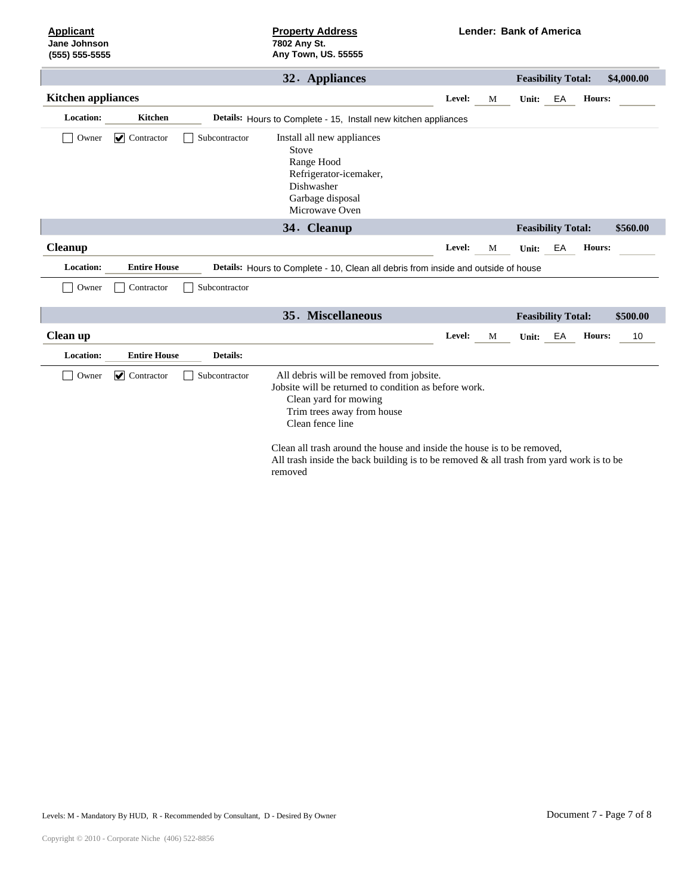| Applicant      |
|----------------|
| Jane Johnson   |
| (555) 555-5555 |

#### **Jane Johnson 7802 Any St. Any Town, US. 55555 (555) 555-5555**

|                                         | 32. Appliances                                                                     | Feasibility Total: \$4,000.00                                                              |
|-----------------------------------------|------------------------------------------------------------------------------------|--------------------------------------------------------------------------------------------|
| <b>Kitchen appliances</b>               |                                                                                    | Level: $M$<br>Unit: $E_A$                                                                  |
| Kitchen<br><b>Location:</b>             | Details: Hours to Complete - 15, Install new kitchen appliances                    | the contract of the contract of the                                                        |
| Owner <b>v</b> Contractor Subcontractor | Install all new appliances                                                         |                                                                                            |
|                                         | Stove                                                                              |                                                                                            |
|                                         | Range Hood<br>Refrigerator-icemaker,                                               |                                                                                            |
|                                         | Dishwasher                                                                         |                                                                                            |
|                                         | Garbage disposal                                                                   |                                                                                            |
|                                         | Microwave Oven                                                                     |                                                                                            |
|                                         | 34. Cleanup                                                                        | <b>Feasibility Total:</b> \$560.00                                                         |
| <b>Cleanup</b>                          |                                                                                    | Unit: $E$ A<br>Hours:<br>Level: $M$<br>the contract of the contract of                     |
| <b>Entire House</b><br><b>Location:</b> | Details: Hours to Complete - 10, Clean all debris from inside and outside of house |                                                                                            |
| Owner Contractor Subcontractor          |                                                                                    |                                                                                            |
|                                         |                                                                                    |                                                                                            |
|                                         | 35. Miscellaneous                                                                  | <b>Feasibility Total:</b> \$500.00                                                         |
| Clean up                                |                                                                                    | Level: $M$<br>Hours: $\frac{10}{\sqrt{10}}$<br>Unit: $E_A$                                 |
| <b>Location:</b><br><b>Entire House</b> | <b>Details:</b>                                                                    |                                                                                            |
| □ Owner ● Contractor □ Subcontractor    | All debris will be removed from jobsite.                                           |                                                                                            |
|                                         | Jobsite will be returned to condition as before work.                              |                                                                                            |
|                                         | Clean yard for mowing                                                              |                                                                                            |
|                                         | Trim trees away from house<br>Clean fence line                                     |                                                                                            |
|                                         |                                                                                    |                                                                                            |
|                                         | Clean all trash around the house and inside the house is to be removed,            |                                                                                            |
|                                         |                                                                                    | All trash inside the back building is to be removed $\&$ all trash from yard work is to be |
|                                         | removed                                                                            |                                                                                            |